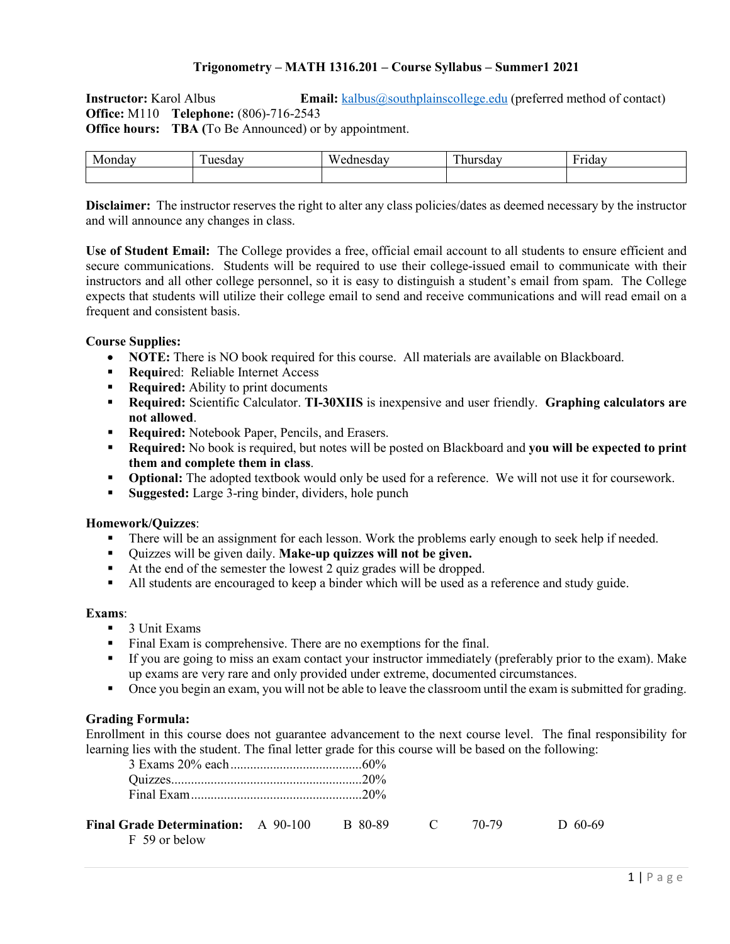# **Trigonometry – MATH 1316.201 – Course Syllabus – Summer1 2021**

**Instructor:** Karol Albus **Email:** [kalbus@southplainscollege.edu](mailto:kalbus@southplainscollege.edu) (preferred method of contact) **Office:** M110 **Telephone:** (806)-716-2543 **Office hours: TBA** (To Be Announced) or by appointment.

| в | - | $-1$ | $\mathbf{r}$ | $\mathbf -$ |
|---|---|------|--------------|-------------|
|   |   |      |              |             |

**Disclaimer:** The instructor reserves the right to alter any class policies/dates as deemed necessary by the instructor and will announce any changes in class.

**Use of Student Email:** The College provides a free, official email account to all students to ensure efficient and secure communications. Students will be required to use their college-issued email to communicate with their instructors and all other college personnel, so it is easy to distinguish a student's email from spam. The College expects that students will utilize their college email to send and receive communications and will read email on a frequent and consistent basis.

### **Course Supplies:**

- **NOTE:** There is NO book required for this course. All materials are available on Blackboard.
- **Requir**ed: Reliable Internet Access
- **Required:** Ability to print documents
- **Required:** Scientific Calculator. **TI-30XIIS** is inexpensive and user friendly. **Graphing calculators are not allowed**.
- **Required:** Notebook Paper, Pencils, and Erasers.
- **Required:** No book is required, but notes will be posted on Blackboard and **you will be expected to print them and complete them in class**.
- **Optional:** The adopted textbook would only be used for a reference. We will not use it for coursework.
- **Suggested:** Large 3-ring binder, dividers, hole punch

### **Homework/Quizzes**:

- There will be an assignment for each lesson. Work the problems early enough to seek help if needed.
- Quizzes will be given daily. **Make-up quizzes will not be given.**
- At the end of the semester the lowest 2 quiz grades will be dropped.
- All students are encouraged to keep a binder which will be used as a reference and study guide.

### **Exams**:

- 3 Unit Exams
- Final Exam is comprehensive. There are no exemptions for the final.
- If you are going to miss an exam contact your instructor immediately (preferably prior to the exam). Make up exams are very rare and only provided under extreme, documented circumstances.
- Once you begin an exam, you will not be able to leave the classroom until the exam is submitted for grading.

## **Grading Formula:**

Enrollment in this course does not guarantee advancement to the next course level. The final responsibility for learning lies with the student. The final letter grade for this course will be based on the following:

| <b>Final Grade Determination:</b> A 90-100 | B 80-89 | 70-79 | D 60-69 |
|--------------------------------------------|---------|-------|---------|
| F 59 or below                              |         |       |         |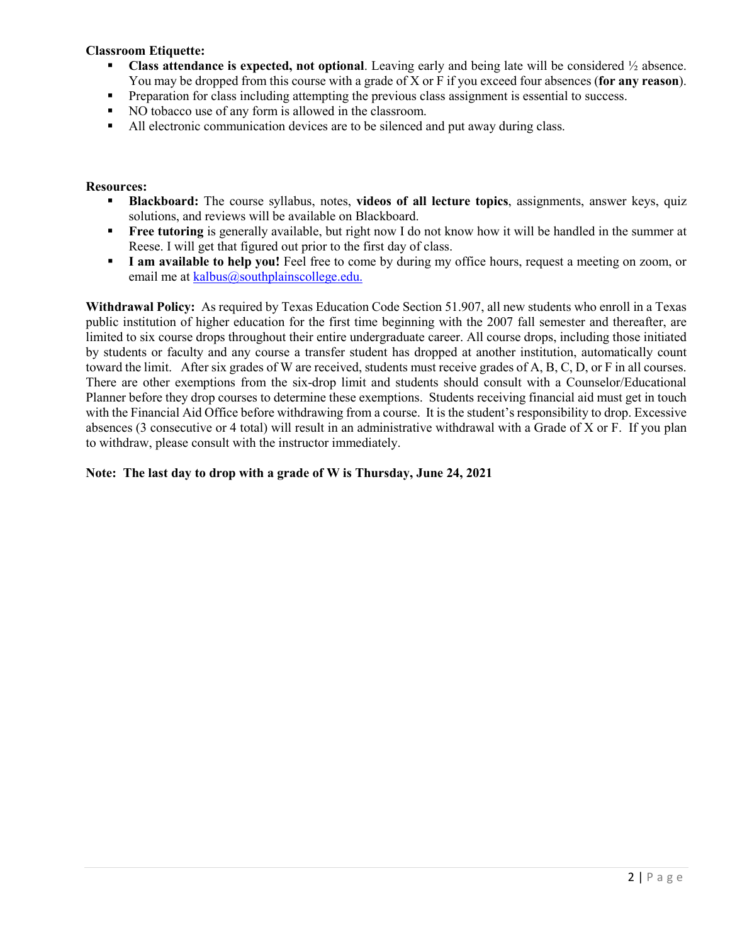# **Classroom Etiquette:**

- **Class attendance is expected, not optional**. Leaving early and being late will be considered ½ absence. You may be dropped from this course with a grade of X or F if you exceed four absences (**for any reason**).
- **Preparation for class including attempting the previous class assignment is essential to success.**
- NO tobacco use of any form is allowed in the classroom.
- All electronic communication devices are to be silenced and put away during class.

### **Resources:**

- **Blackboard:** The course syllabus, notes, **videos of all lecture topics**, assignments, answer keys, quiz solutions, and reviews will be available on Blackboard.
- **Free tutoring** is generally available, but right now I do not know how it will be handled in the summer at Reese. I will get that figured out prior to the first day of class.
- **I am available to help you!** Feel free to come by during my office hours, request a meeting on zoom, or email me at [kalbus@southplainscollege.edu.](mailto:kalbus@southplainscollege.edu)

**Withdrawal Policy:** As required by Texas Education Code Section 51.907, all new students who enroll in a Texas public institution of higher education for the first time beginning with the 2007 fall semester and thereafter, are limited to six course drops throughout their entire undergraduate career. All course drops, including those initiated by students or faculty and any course a transfer student has dropped at another institution, automatically count toward the limit. After six grades of W are received, students must receive grades of A, B, C, D, or F in all courses. There are other exemptions from the six-drop limit and students should consult with a Counselor/Educational Planner before they drop courses to determine these exemptions. Students receiving financial aid must get in touch with the Financial Aid Office before withdrawing from a course. It is the student's responsibility to drop. Excessive absences (3 consecutive or 4 total) will result in an administrative withdrawal with a Grade of X or F. If you plan to withdraw, please consult with the instructor immediately.

## **Note: The last day to drop with a grade of W is Thursday, June 24, 2021**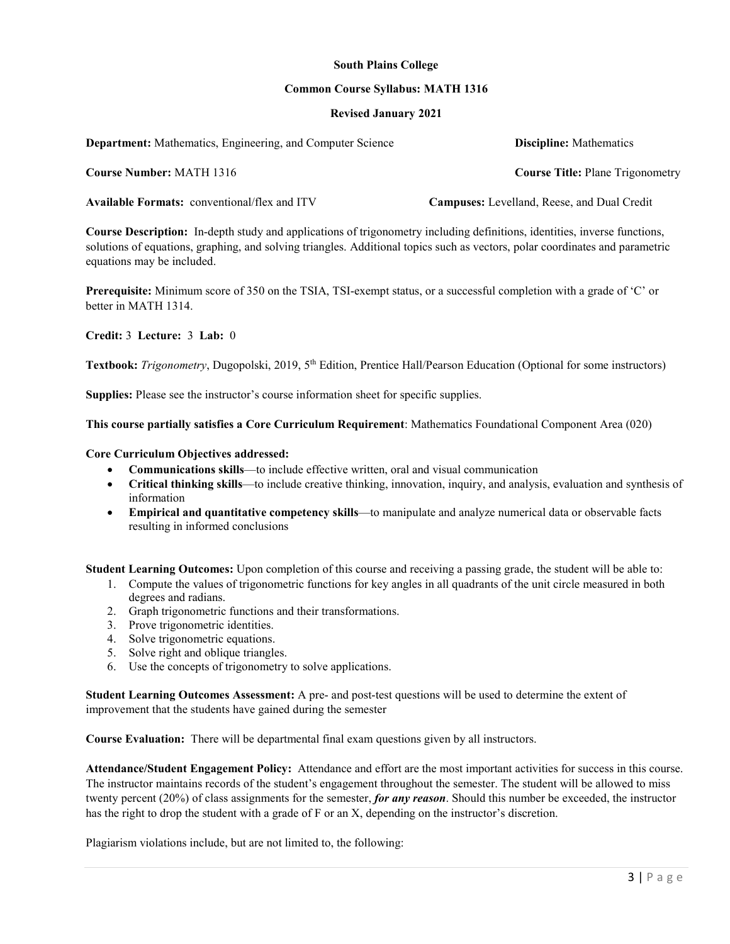### **South Plains College**

#### **Common Course Syllabus: MATH 1316**

### **Revised January 2021**

| <b>Department:</b> Mathematics, Engineering, and Computer Science | <b>Discipline:</b> Mathematics                     |
|-------------------------------------------------------------------|----------------------------------------------------|
| <b>Course Number: MATH 1316</b>                                   | <b>Course Title: Plane Trigonometry</b>            |
| <b>Available Formats:</b> conventional/flex and ITV               | <b>Campuses:</b> Levelland, Reese, and Dual Credit |

**Course Description:** In-depth study and applications of trigonometry including definitions, identities, inverse functions, solutions of equations, graphing, and solving triangles. Additional topics such as vectors, polar coordinates and parametric equations may be included.

**Prerequisite:** Minimum score of 350 on the TSIA, TSI-exempt status, or a successful completion with a grade of 'C' or better in MATH 1314.

**Credit:** 3 **Lecture:** 3 **Lab:** 0

**Textbook:** *Trigonometry*, Dugopolski, 2019, 5th Edition, Prentice Hall/Pearson Education (Optional for some instructors)

**Supplies:** Please see the instructor's course information sheet for specific supplies.

#### **This course partially satisfies a Core Curriculum Requirement**: Mathematics Foundational Component Area (020)

#### **Core Curriculum Objectives addressed:**

- **Communications skills**—to include effective written, oral and visual communication
- **Critical thinking skills**—to include creative thinking, innovation, inquiry, and analysis, evaluation and synthesis of information
- **Empirical and quantitative competency skills**—to manipulate and analyze numerical data or observable facts resulting in informed conclusions

**Student Learning Outcomes:** Upon completion of this course and receiving a passing grade, the student will be able to:

- 1. Compute the values of trigonometric functions for key angles in all quadrants of the unit circle measured in both degrees and radians.
- 2. Graph trigonometric functions and their transformations.
- 3. Prove trigonometric identities.
- 4. Solve trigonometric equations.
- 5. Solve right and oblique triangles.
- 6. Use the concepts of trigonometry to solve applications.

**Student Learning Outcomes Assessment:** A pre- and post-test questions will be used to determine the extent of improvement that the students have gained during the semester

**Course Evaluation:** There will be departmental final exam questions given by all instructors.

**Attendance/Student Engagement Policy:** Attendance and effort are the most important activities for success in this course. The instructor maintains records of the student's engagement throughout the semester. The student will be allowed to miss twenty percent (20%) of class assignments for the semester, *for any reason*. Should this number be exceeded, the instructor has the right to drop the student with a grade of F or an X, depending on the instructor's discretion.

Plagiarism violations include, but are not limited to, the following: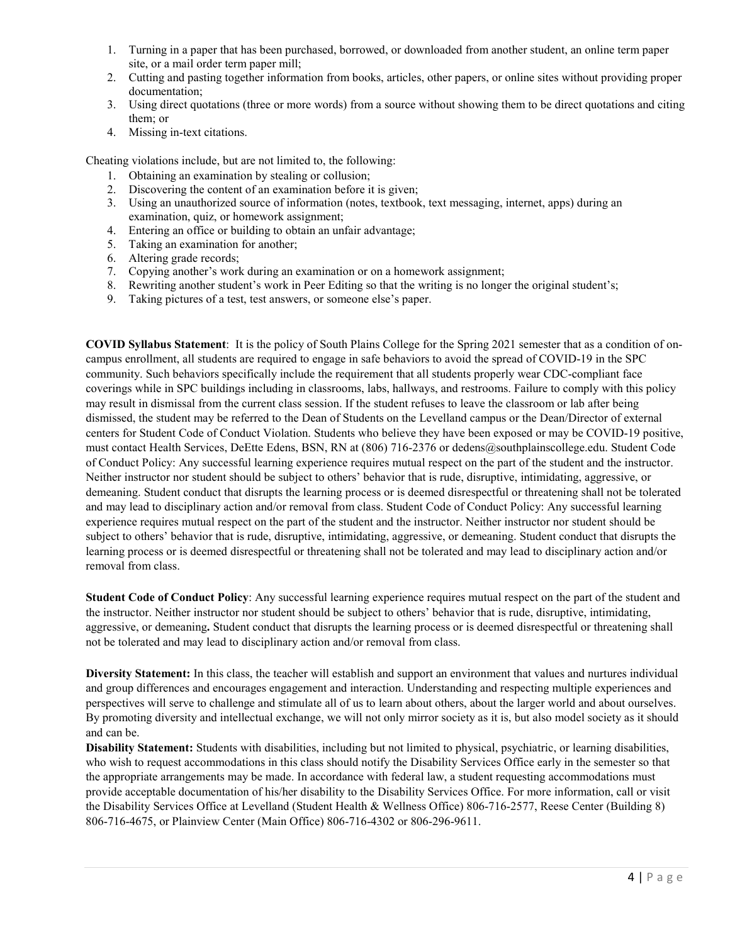- 1. Turning in a paper that has been purchased, borrowed, or downloaded from another student, an online term paper site, or a mail order term paper mill;
- 2. Cutting and pasting together information from books, articles, other papers, or online sites without providing proper documentation;
- 3. Using direct quotations (three or more words) from a source without showing them to be direct quotations and citing them; or
- 4. Missing in-text citations.

Cheating violations include, but are not limited to, the following:

- 1. Obtaining an examination by stealing or collusion;
- 2. Discovering the content of an examination before it is given;
- 3. Using an unauthorized source of information (notes, textbook, text messaging, internet, apps) during an examination, quiz, or homework assignment;
- 4. Entering an office or building to obtain an unfair advantage;
- 5. Taking an examination for another;
- 6. Altering grade records;
- 7. Copying another's work during an examination or on a homework assignment;
- 8. Rewriting another student's work in Peer Editing so that the writing is no longer the original student's;
- 9. Taking pictures of a test, test answers, or someone else's paper.

**COVID Syllabus Statement**: It is the policy of South Plains College for the Spring 2021 semester that as a condition of oncampus enrollment, all students are required to engage in safe behaviors to avoid the spread of COVID-19 in the SPC community. Such behaviors specifically include the requirement that all students properly wear CDC-compliant face coverings while in SPC buildings including in classrooms, labs, hallways, and restrooms. Failure to comply with this policy may result in dismissal from the current class session. If the student refuses to leave the classroom or lab after being dismissed, the student may be referred to the Dean of Students on the Levelland campus or the Dean/Director of external centers for Student Code of Conduct Violation. Students who believe they have been exposed or may be COVID-19 positive, must contact Health Services, DeEtte Edens, BSN, RN at (806) 716-2376 or dedens@southplainscollege.edu. Student Code of Conduct Policy: Any successful learning experience requires mutual respect on the part of the student and the instructor. Neither instructor nor student should be subject to others' behavior that is rude, disruptive, intimidating, aggressive, or demeaning. Student conduct that disrupts the learning process or is deemed disrespectful or threatening shall not be tolerated and may lead to disciplinary action and/or removal from class. Student Code of Conduct Policy: Any successful learning experience requires mutual respect on the part of the student and the instructor. Neither instructor nor student should be subject to others' behavior that is rude, disruptive, intimidating, aggressive, or demeaning. Student conduct that disrupts the learning process or is deemed disrespectful or threatening shall not be tolerated and may lead to disciplinary action and/or removal from class.

**Student Code of Conduct Policy**: Any successful learning experience requires mutual respect on the part of the student and the instructor. Neither instructor nor student should be subject to others' behavior that is rude, disruptive, intimidating, aggressive, or demeaning**.** Student conduct that disrupts the learning process or is deemed disrespectful or threatening shall not be tolerated and may lead to disciplinary action and/or removal from class.

**Diversity Statement:** In this class, the teacher will establish and support an environment that values and nurtures individual and group differences and encourages engagement and interaction. Understanding and respecting multiple experiences and perspectives will serve to challenge and stimulate all of us to learn about others, about the larger world and about ourselves. By promoting diversity and intellectual exchange, we will not only mirror society as it is, but also model society as it should and can be.

**Disability Statement:** Students with disabilities, including but not limited to physical, psychiatric, or learning disabilities, who wish to request accommodations in this class should notify the Disability Services Office early in the semester so that the appropriate arrangements may be made. In accordance with federal law, a student requesting accommodations must provide acceptable documentation of his/her disability to the Disability Services Office. For more information, call or visit the Disability Services Office at Levelland (Student Health & Wellness Office) 806-716-2577, Reese Center (Building 8) 806-716-4675, or Plainview Center (Main Office) 806-716-4302 or 806-296-9611.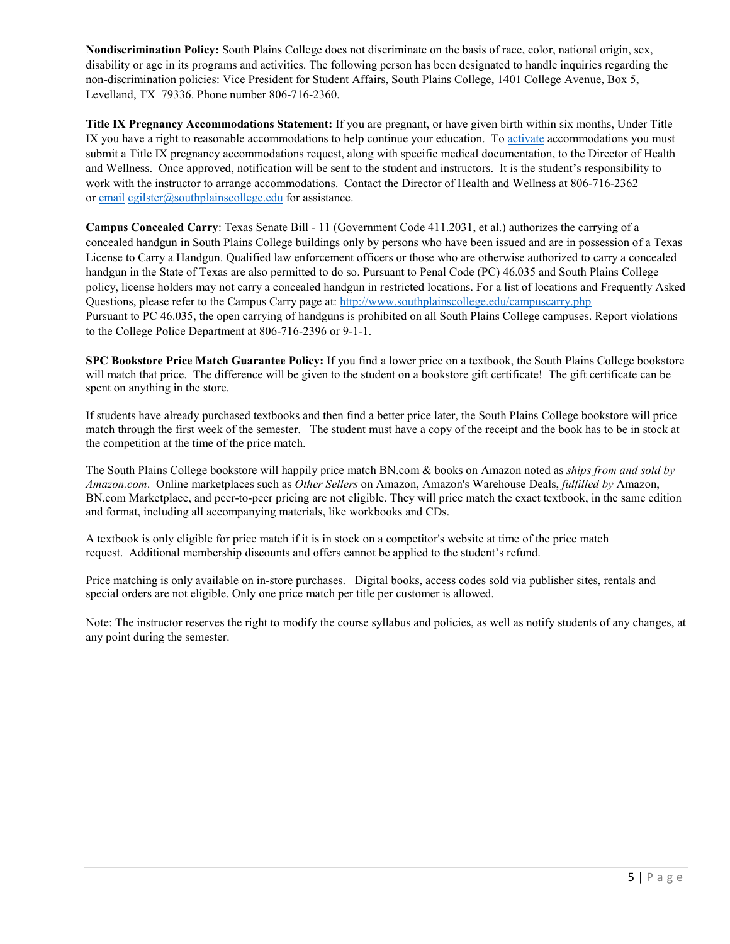**Nondiscrimination Policy:** South Plains College does not discriminate on the basis of race, color, national origin, sex, disability or age in its programs and activities. The following person has been designated to handle inquiries regarding the non-discrimination policies: Vice President for Student Affairs, South Plains College, 1401 College Avenue, Box 5, Levelland, TX 79336. Phone number 806-716-2360.

**Title IX Pregnancy Accommodations Statement:** If you are pregnant, or have given birth within six months, Under Title IX you have a right to reasonable accommodations to help continue your education. To [activate](http://www.southplainscollege.edu/employees/manualshandbooks/facultyhandbook/sec4.php) accommodations you must submit a Title IX pregnancy accommodations request, along with specific medical documentation, to the Director of Health and Wellness. Once approved, notification will be sent to the student and instructors. It is the student's responsibility to work with the instructor to arrange accommodations. Contact the Director of Health and Wellness at 806-716-2362 or [email](http://www.southplainscollege.edu/employees/manualshandbooks/facultyhandbook/sec4.php) [cgilster@southplainscollege.edu](mailto:cgilster@southplainscollege.edu) for assistance.

**Campus Concealed Carry**: Texas Senate Bill - 11 (Government Code 411.2031, et al.) authorizes the carrying of a concealed handgun in South Plains College buildings only by persons who have been issued and are in possession of a Texas License to Carry a Handgun. Qualified law enforcement officers or those who are otherwise authorized to carry a concealed handgun in the State of Texas are also permitted to do so. Pursuant to Penal Code (PC) 46.035 and South Plains College policy, license holders may not carry a concealed handgun in restricted locations. For a list of locations and Frequently Asked Questions, please refer to the Campus Carry page at: <http://www.southplainscollege.edu/campuscarry.php> Pursuant to PC 46.035, the open carrying of handguns is prohibited on all South Plains College campuses. Report violations to the College Police Department at 806-716-2396 or 9-1-1.

**SPC Bookstore Price Match Guarantee Policy:** If you find a lower price on a textbook, the South Plains College bookstore will match that price. The difference will be given to the student on a bookstore gift certificate! The gift certificate can be spent on anything in the store.

If students have already purchased textbooks and then find a better price later, the South Plains College bookstore will price match through the first week of the semester. The student must have a copy of the receipt and the book has to be in stock at the competition at the time of the price match.

The South Plains College bookstore will happily price match BN.com & books on Amazon noted as *ships from and sold by Amazon.com*. Online marketplaces such as *Other Sellers* on Amazon, Amazon's Warehouse Deals, *fulfilled by* Amazon, BN.com Marketplace, and peer-to-peer pricing are not eligible. They will price match the exact textbook, in the same edition and format, including all accompanying materials, like workbooks and CDs.

A textbook is only eligible for price match if it is in stock on a competitor's website at time of the price match request. Additional membership discounts and offers cannot be applied to the student's refund.

Price matching is only available on in-store purchases. Digital books, access codes sold via publisher sites, rentals and special orders are not eligible. Only one price match per title per customer is allowed.

Note: The instructor reserves the right to modify the course syllabus and policies, as well as notify students of any changes, at any point during the semester.